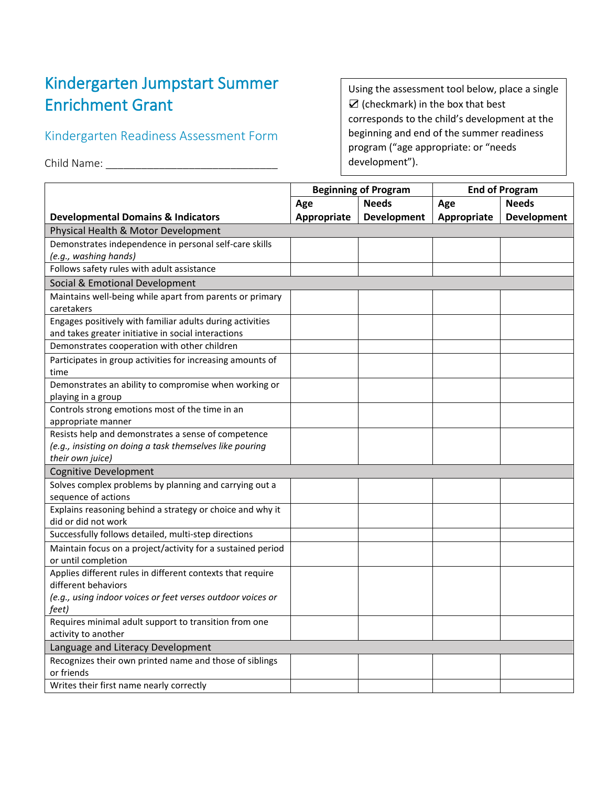## Kindergarten Jumpstart Summer Enrichment Grant

## Kindergarten Readiness Assessment Form

Child Name: \_\_\_\_\_\_\_\_\_\_\_\_\_\_\_\_\_\_\_\_\_\_\_\_\_\_\_\_\_

Using the assessment tool below, place a single ☑ (checkmark) in the box that best corresponds to the child's development at the beginning and end of the summer readiness program ("age appropriate: or "needs development").

|                                                                       | <b>Beginning of Program</b> |                    | <b>End of Program</b> |                    |
|-----------------------------------------------------------------------|-----------------------------|--------------------|-----------------------|--------------------|
|                                                                       | Age                         | <b>Needs</b>       | Age                   | <b>Needs</b>       |
| <b>Developmental Domains &amp; Indicators</b>                         | Appropriate                 | <b>Development</b> | Appropriate           | <b>Development</b> |
| Physical Health & Motor Development                                   |                             |                    |                       |                    |
| Demonstrates independence in personal self-care skills                |                             |                    |                       |                    |
| (e.g., washing hands)                                                 |                             |                    |                       |                    |
| Follows safety rules with adult assistance                            |                             |                    |                       |                    |
| Social & Emotional Development                                        |                             |                    |                       |                    |
| Maintains well-being while apart from parents or primary              |                             |                    |                       |                    |
| caretakers                                                            |                             |                    |                       |                    |
| Engages positively with familiar adults during activities             |                             |                    |                       |                    |
| and takes greater initiative in social interactions                   |                             |                    |                       |                    |
| Demonstrates cooperation with other children                          |                             |                    |                       |                    |
| Participates in group activities for increasing amounts of            |                             |                    |                       |                    |
| time                                                                  |                             |                    |                       |                    |
| Demonstrates an ability to compromise when working or                 |                             |                    |                       |                    |
| playing in a group<br>Controls strong emotions most of the time in an |                             |                    |                       |                    |
| appropriate manner                                                    |                             |                    |                       |                    |
| Resists help and demonstrates a sense of competence                   |                             |                    |                       |                    |
| (e.g., insisting on doing a task themselves like pouring              |                             |                    |                       |                    |
| their own juice)                                                      |                             |                    |                       |                    |
| <b>Cognitive Development</b>                                          |                             |                    |                       |                    |
| Solves complex problems by planning and carrying out a                |                             |                    |                       |                    |
| sequence of actions                                                   |                             |                    |                       |                    |
| Explains reasoning behind a strategy or choice and why it             |                             |                    |                       |                    |
| did or did not work                                                   |                             |                    |                       |                    |
| Successfully follows detailed, multi-step directions                  |                             |                    |                       |                    |
| Maintain focus on a project/activity for a sustained period           |                             |                    |                       |                    |
| or until completion                                                   |                             |                    |                       |                    |
| Applies different rules in different contexts that require            |                             |                    |                       |                    |
| different behaviors                                                   |                             |                    |                       |                    |
| (e.g., using indoor voices or feet verses outdoor voices or           |                             |                    |                       |                    |
| feet)<br>Requires minimal adult support to transition from one        |                             |                    |                       |                    |
| activity to another                                                   |                             |                    |                       |                    |
| Language and Literacy Development                                     |                             |                    |                       |                    |
| Recognizes their own printed name and those of siblings               |                             |                    |                       |                    |
| or friends                                                            |                             |                    |                       |                    |
| Writes their first name nearly correctly                              |                             |                    |                       |                    |